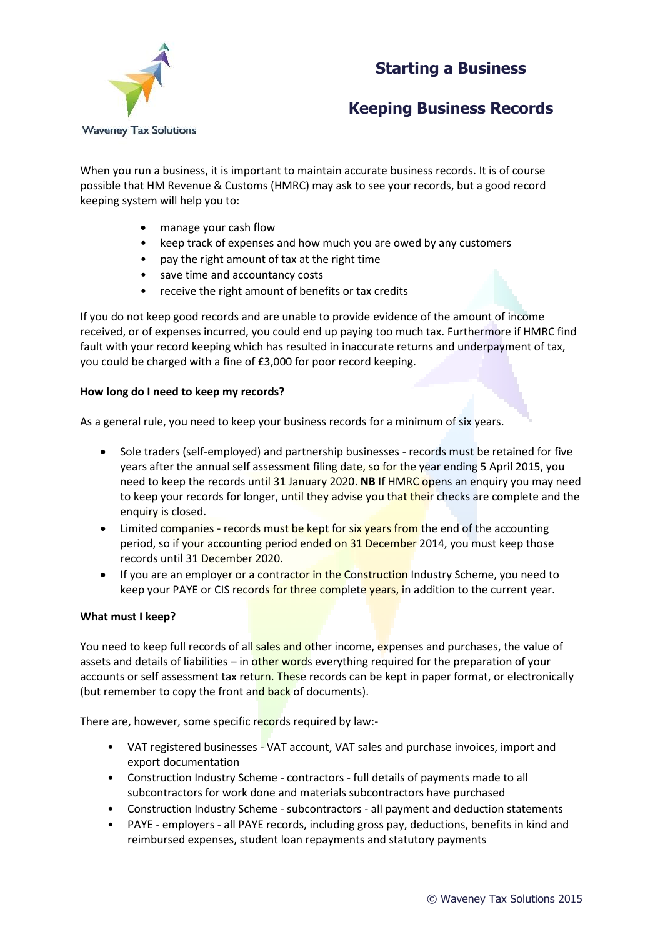## **Starting a Business**



# **Keeping Business Records**

When you run a business, it is important to maintain accurate business records. It is of course possible that HM Revenue & Customs (HMRC) may ask to see your records, but a good record keeping system will help you to:

- manage your cash flow
- keep track of expenses and how much you are owed by any customers
- pay the right amount of tax at the right time
- save time and accountancy costs
- receive the right amount of benefits or tax credits

If you do not keep good records and are unable to provide evidence of the amount of income received, or of expenses incurred, you could end up paying too much tax. Furthermore if HMRC find fault with your record keeping which has resulted in inaccurate returns and underpayment of tax, you could be charged with a fine of £3,000 for poor record keeping.

#### **How long do I need to keep my records?**

As a general rule, you need to keep your business records for a minimum of six years.

- Sole traders (self-employed) and partnership businesses records must be retained for five years after the annual self assessment filing date, so for the year ending 5 April 2015, you need to keep the records until 31 January 2020. **NB** If HMRC opens an enquiry you may need to keep your records for longer, until they advise you that their checks are complete and the enquiry is closed.
- Limited companies records must be kept for six years from the end of the accounting period, so if your accounting period ended on 31 December 2014, you must keep those records until 31 December 2020.
- If you are an employer or a contractor in the Construction Industry Scheme, you need to keep your PAYE or CIS records for three complete years, in addition to the current year.

#### **What must I keep?**

You need to keep full records of all sales and other income, expenses and purchases, the value of assets and details of liabilities – in other words everything required for the preparation of your accounts or self assessment tax return. These records can be kept in paper format, or electronically (but remember to copy the front and back of documents).

There are, however, some specific records required by law:-

- VAT registered businesses VAT account, VAT sales and purchase invoices, import and export documentation
- Construction Industry Scheme contractors full details of payments made to all subcontractors for work done and materials subcontractors have purchased
- Construction Industry Scheme subcontractors all payment and deduction statements
- PAYE employers all PAYE records, including gross pay, deductions, benefits in kind and reimbursed expenses, student loan repayments and statutory payments